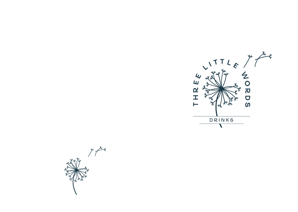

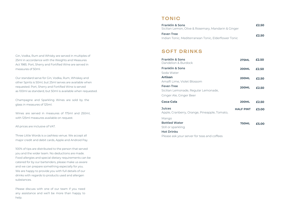Gin, Vodka, Rum and Whisky are served in multiples of 25ml in accordance with the Weights and Measures Act 1985. Port, Sherry and Fortified Wine are served in measures of 50ml.

Our standard serve for Gin, Vodka, Rum, Whiskey and other Spirits is 50ml, but 25ml serves are available when requested. Port, Sherry and Fortified Wine is served as 100ml as standard, but 50ml is available when requested.

Champagne and Sparkling Wines are sold by the glass in measures of 125ml.

Wines are served in measures of 175ml and 250ml, with 125ml measures available on request.

All prices are inclusive of VAT.

Three Little Words is a cashless venue. We accept all major credit and debit cards, Apple and Android Pay.

100% of tips are distributed to the person that served you and the wider team. No deductions are made. Food allergies and special dietary requirements can be catered for by our bartenders, please make us aware and we can prepare something especially for you. We are happy to provide you with full details of our drinks with regards to products used and allergen substances.

Please discuss with one of our team if you need any assistance and we'll be more than happy to help.

#### TONIC

| <b>Fever-Tree</b>                                             |  |
|---------------------------------------------------------------|--|
| £2.50<br>Indian Tonic, Mediterranean Tonic, Elderflower Tonic |  |

#### SOFT DRINKS

| <b>Franklin &amp; Sons</b><br>Dandelion & Burdock | <b>275ML</b>     | £2.50 |
|---------------------------------------------------|------------------|-------|
| <b>Franklin &amp; Sons</b>                        | <b>200ML</b>     | £2.50 |
| Soda Water                                        |                  |       |
| <b>Artisan</b>                                    | <b>200ML</b>     | £2.50 |
| Amalfi Lime, Violet Blossom                       |                  |       |
| <b>Fever-Tree</b>                                 | <b>200ML</b>     | £2.50 |
| Sicilian Lemonade, Regular Lemonade,              |                  |       |
| Ginger Ale, Ginger Beer                           |                  |       |
|                                                   |                  |       |
| Coca-Cola                                         | <b>200ML</b>     | £2.50 |
| <b>Juices</b>                                     | <b>HALF PINT</b> | £3.00 |
| Apple, Cranberry, Orange, Pineapple, Tomato,      |                  |       |
| Mango                                             |                  |       |
| <b>Bottled Water</b>                              | <b>750ML</b>     | £5.00 |
| Still or sparkling                                |                  |       |
| <b>Hot Drinks</b>                                 |                  |       |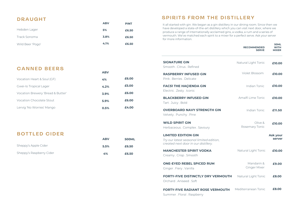# DRAUGHT

|                  | <b>ABV</b> | <b>PINT</b> |
|------------------|------------|-------------|
| Hebden Lager     | 5%         | £6.50       |
| Track Sonoma     | 3.8%       | £6.50       |
| Wild Beer 'Pogo' | 4.1%       | £6.50       |

## SPIRITS FROM THE DISTILLERY

It all started with gin. We began as a gin distillery in our dining room. Since then we have developed a state-of-the-art distillery which you can visit next door, where we produce a range of internationally acclaimed gins, a vodka, a rum and a series of vermouth. We've matched each spirit to a mixer for a perfect serve. Ask your server for more information.

**50ML**

|                                                                                                                | <b>RECOMMENDED</b><br><b>SERVE</b> | <b>WITH</b><br><b>MIXER</b> |
|----------------------------------------------------------------------------------------------------------------|------------------------------------|-----------------------------|
| <b>SIGNATURE GIN</b><br>Smooth Citrus Refined                                                                  | Natural Light Tonic                | £10.00                      |
| <b>RASPBERRY INFUSED GIN</b><br>Pink, Berries, Delicate                                                        | Violet Blossom                     | £10.00                      |
| <b>FAC51 THE HAÇIENDA GIN</b><br>Electric. Zesty. Iconic                                                       | Indian Tonic                       | £10.00                      |
| <b>BLACKBERRY INFUSED GIN</b><br>Tart.Juicy.Bold                                                               | Amalfi Lime Tonic                  | £10.00                      |
| <b>OVERBOARD NAVY STRENGTH GIN</b><br>Velvety. Punchy. Pine                                                    | Indian Tonic                       | £11.50                      |
| <b>WILD SPIRIT GIN</b><br>Herbaceous . Complex . Savoury                                                       | Olive &<br>Rosemary Tonic          | £10.00                      |
| <b>LIMITED EDITION GIN</b><br>Try our latest seasonal limited edition,<br>created next door in our distillery. |                                    | Ask your<br>server          |
| <b>MANCHESTER SPIRIT VODKA</b><br>Creamy. Crisp. Smooth                                                        | Natural Light Tonic                | £10.00                      |
| <b>ONE-EYED REBEL SPICED RUM</b><br>Ginger . Fiery . Vanilla                                                   | Mandarin &<br>Ginger Mixer         | £9.00                       |
| <b>FORTY-FIVE DISTINCTLY DRY VERMOUTH</b><br>Orchard, Aniseed, Soft                                            | Natural Light Tonic                | £8.00                       |
| <b>FORTY-FIVE RADIANT ROSE VERMOUTH</b><br>$-1$ $-1$ $-1$                                                      | Mediterranean Tonic                | £8.00                       |

# CANNED BEERS

| Vocation Heart & Soul (GF)        | 4%   | £6.00 |
|-----------------------------------|------|-------|
| Gwei-lo Tropical Lager            | 4.2% | £5.00 |
| Vocation Brewery 'Bread & Butter' | 3.9% | £6.00 |
| Vocation Chocolate Stout          | 5.9% | £6.00 |
| Lervig 'No Worries' Mango         | 0.5% | £4.00 |

**ABV**

## BOTTLED CIDER

|                          | <b>ABV</b> | <b>500ML</b> |
|--------------------------|------------|--------------|
| Sheppy's Apple Cider     | 5.5%       | £6.50        |
| Sheppy's Raspberry Cider | 4%         | £6.50        |

|  |  | Summer . Floral . Raspberry |
|--|--|-----------------------------|
|--|--|-----------------------------|